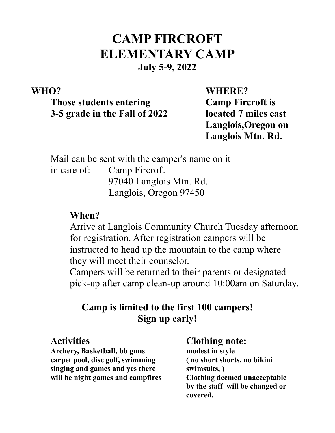# **CAMP FIRCROFT ELEMENTARY CAMP July 5-9, 2022**

**Those students entering Camp Fircroft is 3-5 grade in the Fall of 2022 located 7 miles east**

**WHO? WHERE? Langlois,Oregon on Langlois Mtn. Rd.**

Mail can be sent with the camper's name on it in care of: Camp Fircroft 97040 Langlois Mtn. Rd. Langlois, Oregon 97450

### **When?**

Arrive at Langlois Community Church Tuesday afternoon for registration. After registration campers will be instructed to head up the mountain to the camp where they will meet their counselor.

Campers will be returned to their parents or designated pick-up after camp clean-up around 10:00am on Saturday.

## **Camp is limited to the first 100 campers! Sign up early!**

| <b>Activities</b>                 | <u>Clothing note:</u>           |
|-----------------------------------|---------------------------------|
| Archery, Basketball, bb guns      | modest in style                 |
| carpet pool, disc golf, swimming  | (no short shorts, no bikini     |
| singing and games and yes there   | swimsuits, )                    |
| will be night games and campfires | Clothing deemed unacceptable    |
|                                   | by the staff will be changed or |
|                                   | covered.                        |